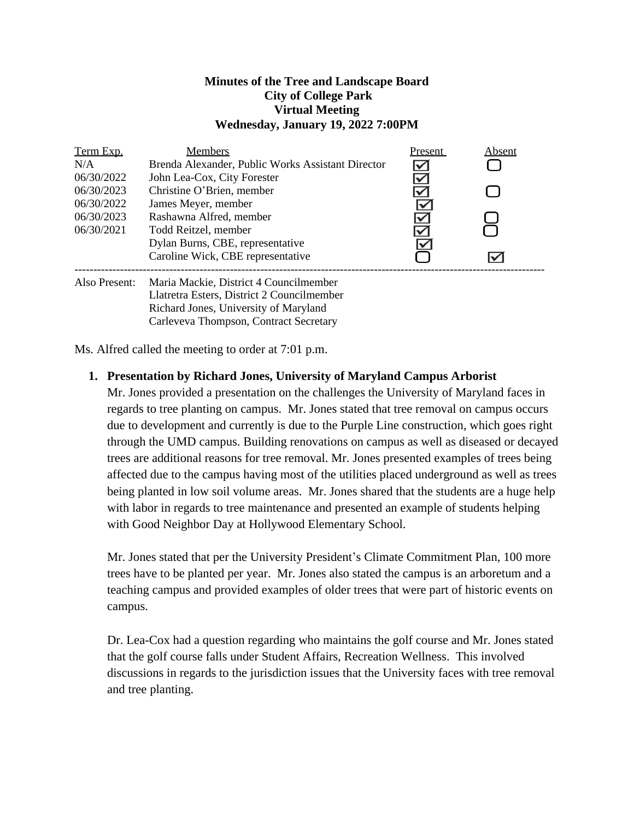#### **Minutes of the Tree and Landscape Board City of College Park Virtual Meeting Wednesday, January 19, 2022 7:00PM**

| Term Exp.     | <b>Members</b>                                    | Present              | Absent |
|---------------|---------------------------------------------------|----------------------|--------|
| N/A           | Brenda Alexander, Public Works Assistant Director | $\checkmark$         |        |
| 06/30/2022    | John Lea-Cox, City Forester                       | $\blacktriangledown$ |        |
| 06/30/2023    | Christine O'Brien, member                         |                      |        |
| 06/30/2022    | James Meyer, member                               | ∨                    |        |
| 06/30/2023    | Rashawna Alfred, member                           |                      |        |
| 06/30/2021    | Todd Reitzel, member                              |                      |        |
|               | Dylan Burns, CBE, representative                  | V                    |        |
|               | Caroline Wick, CBE representative                 |                      |        |
| Also Present: | Maria Mackie, District 4 Councilmember            |                      |        |

Llatretra Esters, District 2 Councilmember Richard Jones, University of Maryland Carleveva Thompson, Contract Secretary

Ms. Alfred called the meeting to order at 7:01 p.m.

## **1. Presentation by Richard Jones, University of Maryland Campus Arborist**

Mr. Jones provided a presentation on the challenges the University of Maryland faces in regards to tree planting on campus. Mr. Jones stated that tree removal on campus occurs due to development and currently is due to the Purple Line construction, which goes right through the UMD campus. Building renovations on campus as well as diseased or decayed trees are additional reasons for tree removal. Mr. Jones presented examples of trees being affected due to the campus having most of the utilities placed underground as well as trees being planted in low soil volume areas. Mr. Jones shared that the students are a huge help with labor in regards to tree maintenance and presented an example of students helping with Good Neighbor Day at Hollywood Elementary School.

Mr. Jones stated that per the University President's Climate Commitment Plan, 100 more trees have to be planted per year. Mr. Jones also stated the campus is an arboretum and a teaching campus and provided examples of older trees that were part of historic events on campus.

Dr. Lea-Cox had a question regarding who maintains the golf course and Mr. Jones stated that the golf course falls under Student Affairs, Recreation Wellness. This involved discussions in regards to the jurisdiction issues that the University faces with tree removal and tree planting.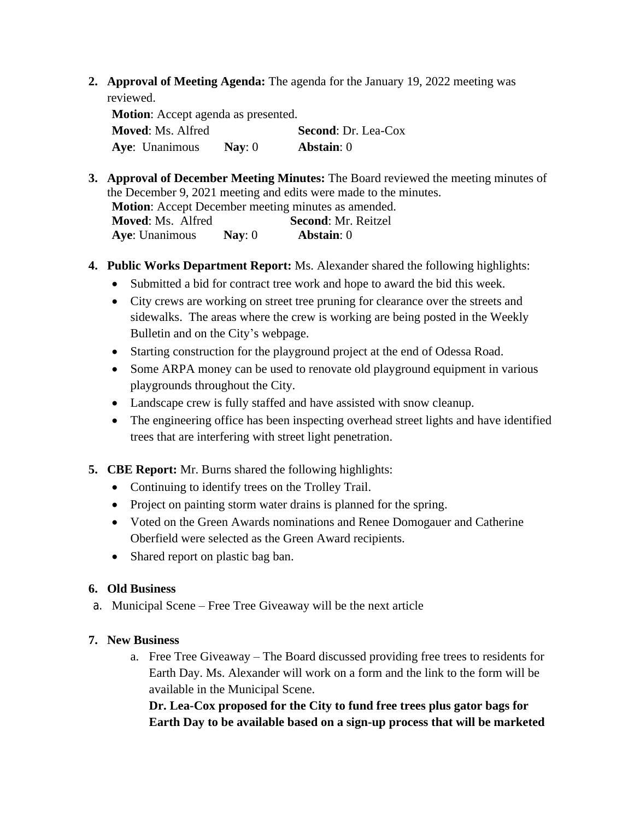**2. Approval of Meeting Agenda:** The agenda for the January 19, 2022 meeting was reviewed.

**Motion**: Accept agenda as presented. **Moved**: Ms. Alfred **Second**: Dr. Lea-Cox **Aye**: Unanimous **Nay**: 0 **Abstain**: 0

- **3. Approval of December Meeting Minutes:** The Board reviewed the meeting minutes of the December 9, 2021 meeting and edits were made to the minutes. **Motion**: Accept December meeting minutes as amended. **Moved**: Ms. Alfred **Second**: Mr. Reitzel **Aye**: Unanimous **Nay**: 0 **Abstain**: 0
- **4. Public Works Department Report:** Ms. Alexander shared the following highlights:
	- Submitted a bid for contract tree work and hope to award the bid this week.
	- City crews are working on street tree pruning for clearance over the streets and sidewalks. The areas where the crew is working are being posted in the Weekly Bulletin and on the City's webpage.
	- Starting construction for the playground project at the end of Odessa Road.
	- Some ARPA money can be used to renovate old playground equipment in various playgrounds throughout the City.
	- Landscape crew is fully staffed and have assisted with snow cleanup.
	- The engineering office has been inspecting overhead street lights and have identified trees that are interfering with street light penetration.
- **5. CBE Report:** Mr. Burns shared the following highlights:
	- Continuing to identify trees on the Trolley Trail.
	- Project on painting storm water drains is planned for the spring.
	- Voted on the Green Awards nominations and Renee Domogauer and Catherine Oberfield were selected as the Green Award recipients.
	- Shared report on plastic bag ban.

### **6. Old Business**

a. Municipal Scene – Free Tree Giveaway will be the next article

### **7. New Business**

a. Free Tree Giveaway – The Board discussed providing free trees to residents for Earth Day. Ms. Alexander will work on a form and the link to the form will be available in the Municipal Scene.

**Dr. Lea-Cox proposed for the City to fund free trees plus gator bags for Earth Day to be available based on a sign-up process that will be marketed**